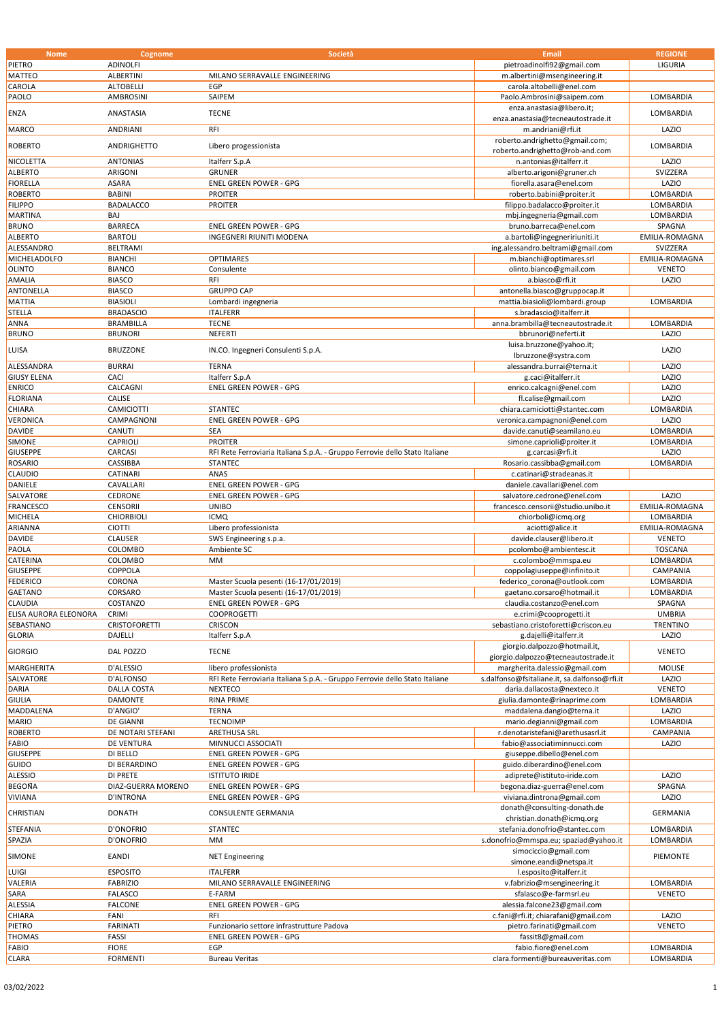| <b>Nome</b>           | Cognome              | Società                                                                     | Email                                        | <b>REGIONE</b>   |
|-----------------------|----------------------|-----------------------------------------------------------------------------|----------------------------------------------|------------------|
| PIETRO                | <b>ADINOLFI</b>      |                                                                             | pietroadinolfi92@gmail.com                   | LIGURIA          |
|                       |                      |                                                                             |                                              |                  |
| <b>MATTEO</b>         | ALBERTINI            | MILANO SERRAVALLE ENGINEERING                                               | m.albertini@msengineering.it                 |                  |
| CAROLA                | <b>ALTOBELLI</b>     | EGP                                                                         | carola.altobelli@enel.com                    |                  |
| PAOLO                 | AMBROSINI            | SAIPEM                                                                      | Paolo.Ambrosini@saipem.com                   | LOMBARDIA        |
|                       |                      |                                                                             | enza.anastasia@libero.it;                    | <b>LOMBARDIA</b> |
| ENZA                  | ANASTASIA            | <b>TECNE</b>                                                                | enza.anastasia@tecneautostrade.it            |                  |
| MARCO                 | ANDRIANI             | RFI                                                                         | m.andriani@rfi.it                            | LAZIO            |
|                       |                      |                                                                             | roberto.andrighetto@gmail.com;               |                  |
| <b>ROBERTO</b>        | ANDRIGHETTO          | Libero progessionista                                                       | roberto.andrighetto@rob-and.com              | LOMBARDIA        |
|                       |                      |                                                                             |                                              |                  |
| NICOLETTA             | <b>ANTONIAS</b>      | Italferr S.p.A                                                              | n.antonias@italferr.it                       | LAZIO            |
| <b>ALBERTO</b>        | ARIGONI              | <b>GRUNER</b>                                                               | alberto.arigoni@gruner.ch                    | SVIZZERA         |
| <b>FIORELLA</b>       | <b>ASARA</b>         | ENEL GREEN POWER - GPG                                                      | fiorella.asara@enel.com                      | LAZIO            |
| <b>ROBERTO</b>        | <b>BABINI</b>        | <b>PROITER</b>                                                              | roberto.babini@proiter.it                    | LOMBARDIA        |
| <b>FILIPPO</b>        | <b>BADALACCO</b>     | <b>PROITER</b>                                                              | filippo.badalacco@proiter.it                 | LOMBARDIA        |
| <b>MARTINA</b>        | BAJ                  |                                                                             | mbj.ingegneria@gmail.com                     | LOMBARDIA        |
| <b>BRUNO</b>          | <b>BARRECA</b>       | ENEL GREEN POWER - GPG                                                      | bruno.barreca@enel.com                       | SPAGNA           |
|                       |                      |                                                                             |                                              |                  |
| <b>ALBERTO</b>        | <b>BARTOLI</b>       | INGEGNERI RIUNITI MODENA                                                    | a.bartoli@ingegneririuniti.it                | EMILIA-ROMAGNA   |
| ALESSANDRO            | <b>BELTRAMI</b>      |                                                                             | ing.alessandro.beltrami@gmail.com            | SVIZZERA         |
| MICHELADOLFO          | <b>BIANCHI</b>       | <b>OPTIMARES</b>                                                            | m.bianchi@optimares.srl                      | EMILIA-ROMAGNA   |
| <b>OLINTO</b>         | <b>BIANCO</b>        | Consulente                                                                  | olinto.bianco@gmail.com                      | <b>VENETO</b>    |
| AMALIA                | <b>BIASCO</b>        | RFI                                                                         | a.biasco@rfi.it                              | LAZIO            |
| ANTONELLA             | <b>BIASCO</b>        | <b>GRUPPO CAP</b>                                                           | antonella.biasco@gruppocap.it                |                  |
| <b>MATTIA</b>         | <b>BIASIOLI</b>      | Lombardi ingegneria                                                         | mattia.biasioli@lombardi.group               | LOMBARDIA        |
|                       |                      |                                                                             |                                              |                  |
| <b>STELLA</b>         | <b>BRADASCIO</b>     | <b>ITALFERR</b>                                                             | s.bradascio@italferr.it                      |                  |
| ANNA                  | <b>BRAMBILLA</b>     | <b>TECNE</b>                                                                | anna.brambilla@tecneautostrade.it            | LOMBARDIA        |
| <b>BRUNO</b>          | <b>BRUNORI</b>       | NEFERTI                                                                     | bbrunori@neferti.it                          | LAZIO            |
|                       |                      |                                                                             | luisa.bruzzone@yahoo.it;                     |                  |
| LUISA                 | <b>BRUZZONE</b>      | IN.CO. Ingegneri Consulenti S.p.A.                                          | lbruzzone@systra.com                         | LAZIO            |
| ALESSANDRA            | <b>BURRAI</b>        | <b>TERNA</b>                                                                | alessandra.burrai@terna.it                   | LAZIO            |
| <b>GIUSY ELENA</b>    | CACI                 | Italferr S.p.A                                                              | g.caci@italferr.it                           | LAZIO            |
| <b>ENRICO</b>         | CALCAGNI             |                                                                             |                                              | LAZIO            |
|                       |                      | ENEL GREEN POWER - GPG                                                      | enrico.calcagni@enel.com                     |                  |
| <b>FLORIANA</b>       | CALISE               |                                                                             | fl.calise@gmail.com                          | LAZIO            |
| CHIARA                | CAMICIOTTI           | <b>STANTEC</b>                                                              | chiara.camiciotti@stantec.com                | LOMBARDIA        |
| VERONICA              | CAMPAGNONI           | ENEL GREEN POWER - GPG                                                      | veronica.campagnoni@enel.com                 | LAZIO            |
| <b>DAVIDE</b>         | CANUTI               | <b>SEA</b>                                                                  | davide.canuti@seamilano.eu                   | LOMBARDIA        |
| SIMONE                | CAPRIOLI             | <b>PROITER</b>                                                              | simone.caprioli@proiter.it                   | LOMBARDIA        |
| <b>GIUSEPPE</b>       | CARCASI              | RFI Rete Ferroviaria Italiana S.p.A. - Gruppo Ferrovie dello Stato Italiane | g.carcasi@rfi.it                             | LAZIO            |
|                       |                      |                                                                             |                                              |                  |
| <b>ROSARIO</b>        | CASSIBBA             | <b>STANTEC</b>                                                              | Rosario.cassibba@gmail.com                   | LOMBARDIA        |
| CLAUDIO               | CATINARI             | ANAS                                                                        | c.catinari@stradeanas.it                     |                  |
| DANIELE               | CAVALLARI            | ENEL GREEN POWER - GPG                                                      | daniele.cavallari@enel.com                   |                  |
| SALVATORE             | CEDRONE              | <b>ENEL GREEN POWER - GPG</b>                                               | salvatore.cedrone@enel.com                   | LAZIO            |
| <b>FRANCESCO</b>      | <b>CENSORII</b>      | <b>UNIBO</b>                                                                | francesco.censorii@studio.unibo.it           | EMILIA-ROMAGNA   |
| MICHELA               | <b>CHIORBIOLI</b>    | <b>ICMQ</b>                                                                 | chiorboli@icmq.org                           | LOMBARDIA        |
| ARIANNA               | <b>CIOTTI</b>        | Libero professionista                                                       | aciotti@alice.it                             | EMILIA-ROMAGNA   |
| <b>DAVIDE</b>         | <b>CLAUSER</b>       | SWS Engineering s.p.a.                                                      | davide.clauser@libero.it                     | <b>VENETO</b>    |
|                       |                      |                                                                             |                                              |                  |
| PAOLA                 | COLOMBO              | Ambiente SC                                                                 | pcolombo@ambientesc.it                       | <b>TOSCANA</b>   |
| CATERINA              | COLOMBO              | <b>MM</b>                                                                   | c.colombo@mmspa.eu                           | LOMBARDIA        |
| <b>GIUSEPPE</b>       | COPPOLA              |                                                                             | coppolagiuseppe@infinito.it                  | CAMPANIA         |
| <b>FEDERICO</b>       | CORONA               | Master Scuola pesenti (16-17/01/2019)                                       | federico corona@outlook.com                  | LOMBARDIA        |
| GAETANO               | CORSARO              | Master Scuola pesenti (16-17/01/2019)                                       | gaetano.corsaro@hotmail.it                   | LOMBARDIA        |
| CLAUDIA               | COSTANZO             | <b>ENEL GREEN POWER - GPG</b>                                               | claudia.costanzo@enel.com                    | SPAGNA           |
| ELISA AURORA ELEONORA | CRIMI                | <b>COOPROGETTI</b>                                                          | e.crimi@cooprogetti.it                       | <b>UMBRIA</b>    |
|                       |                      |                                                                             |                                              |                  |
| SEBASTIANO            | <b>CRISTOFORETTI</b> | CRISCON                                                                     | sebastiano.cristoforetti@criscon.eu          | <b>TRENTINO</b>  |
| <b>GLORIA</b>         | DAJELLI              | Italferr S.p.A                                                              | g.dajelli@italferr.it                        | LAZIO            |
| <b>GIORGIO</b>        | DAL POZZO            | <b>TECNE</b>                                                                | giorgio.dalpozzo@hotmail.it,                 | <b>VENETO</b>    |
|                       |                      |                                                                             | giorgio.dalpozzo@tecneautostrade.it          |                  |
| MARGHERITA            | D'ALESSIO            | libero professionista                                                       | margherita.dalessio@gmail.com                | <b>MOLISE</b>    |
| SALVATORE             | D'ALFONSO            | RFI Rete Ferroviaria Italiana S.p.A. - Gruppo Ferrovie dello Stato Italiane | s.dalfonso@fsitaliane.it, sa.dalfonso@rfi.it | LAZIO            |
| DARIA                 | DALLA COSTA          | <b>NEXTECO</b>                                                              | daria.dallacosta@nexteco.it                  | <b>VENETO</b>    |
| <b>GIULIA</b>         | <b>DAMONTE</b>       | <b>RINA PRIME</b>                                                           | giulia.damonte@rinaprime.com                 | LOMBARDIA        |
|                       | D'ANGIO'             |                                                                             | maddalena.dangio@terna.it                    |                  |
| MADDALENA             |                      | <b>TERNA</b>                                                                |                                              | LAZIO            |
| <b>MARIO</b>          | <b>DE GIANNI</b>     | <b>TECNOIMP</b>                                                             | mario.degianni@gmail.com                     | LOMBARDIA        |
| <b>ROBERTO</b>        | DE NOTARI STEFANI    | ARETHUSA SRL                                                                | r.denotaristefani@arethusasrl.it             | CAMPANIA         |
| <b>FABIO</b>          | DE VENTURA           | MINNUCCI ASSOCIATI                                                          | fabio@associatiminnucci.com                  | LAZIO            |
| <b>GIUSEPPE</b>       | DI BELLO             | ENEL GREEN POWER - GPG                                                      | giuseppe.dibello@enel.com                    |                  |
| GUIDO                 | DI BERARDINO         | ENEL GREEN POWER - GPG                                                      | guido.diberardino@enel.com                   |                  |
| <b>ALESSIO</b>        | DI PRETE             | <b>ISTITUTO IRIDE</b>                                                       | adiprete@istituto-iride.com                  | LAZIO            |
| <b>BEGOÑA</b>         | DIAZ-GUERRA MORENO   | ENEL GREEN POWER - GPG                                                      | begona.diaz-guerra@enel.com                  | SPAGNA           |
|                       |                      |                                                                             |                                              |                  |
| VIVIANA               | D'INTRONA            | ENEL GREEN POWER - GPG                                                      | viviana.dintrona@gmail.com                   | LAZIO            |
| CHRISTIAN             | <b>DONATH</b>        | CONSULENTE GERMANIA                                                         | donath@consulting-donath.de                  | GERMANIA         |
|                       |                      |                                                                             | christian.donath@icmq.org                    |                  |
| STEFANIA              | D'ONOFRIO            | <b>STANTEC</b>                                                              | stefania.donofrio@stantec.com                | LOMBARDIA        |
| SPAZIA                | D'ONOFRIO            | MM                                                                          | s.donofrio@mmspa.eu; spaziad@yahoo.it        | LOMBARDIA        |
|                       |                      |                                                                             | simociccio@gmail.com                         |                  |
| SIMONE                | EANDI                | <b>NET Engineering</b>                                                      | simone.eandi@netspa.it                       | PIEMONTE         |
| LUIGI                 | <b>ESPOSITO</b>      | <b>ITALFERR</b>                                                             |                                              |                  |
|                       |                      |                                                                             | l.esposito@italferr.it                       |                  |
| VALERIA               | <b>FABRIZIO</b>      | MILANO SERRAVALLE ENGINEERING                                               | v.fabrizio@msengineering.it                  | LOMBARDIA        |
| SARA                  | <b>FALASCO</b>       | E-FARM                                                                      | sfalasco@e-farmsrl.eu                        | <b>VENETO</b>    |
| ALESSIA               | <b>FALCONE</b>       | ENEL GREEN POWER - GPG                                                      | alessia.falcone23@gmail.com                  |                  |
| CHIARA                | FANI                 | <b>RFI</b>                                                                  | c.fani@rfi.it; chiarafani@gmail.com          | LAZIO            |
| PIETRO                | <b>FARINATI</b>      | Funzionario settore infrastrutture Padova                                   | pietro.farinati@gmail.com                    | <b>VENETO</b>    |
| THOMAS                | FASSI                | <b>ENEL GREEN POWER - GPG</b>                                               | fassit8@gmail.com                            |                  |
| <b>FABIO</b>          | <b>FIORE</b>         | EGP                                                                         | fabio.fiore@enel.com                         | LOMBARDIA        |
|                       |                      |                                                                             |                                              |                  |
| <b>CLARA</b>          | <b>FORMENTI</b>      | <b>Bureau Veritas</b>                                                       | clara.formenti@bureauveritas.com             | LOMBARDIA        |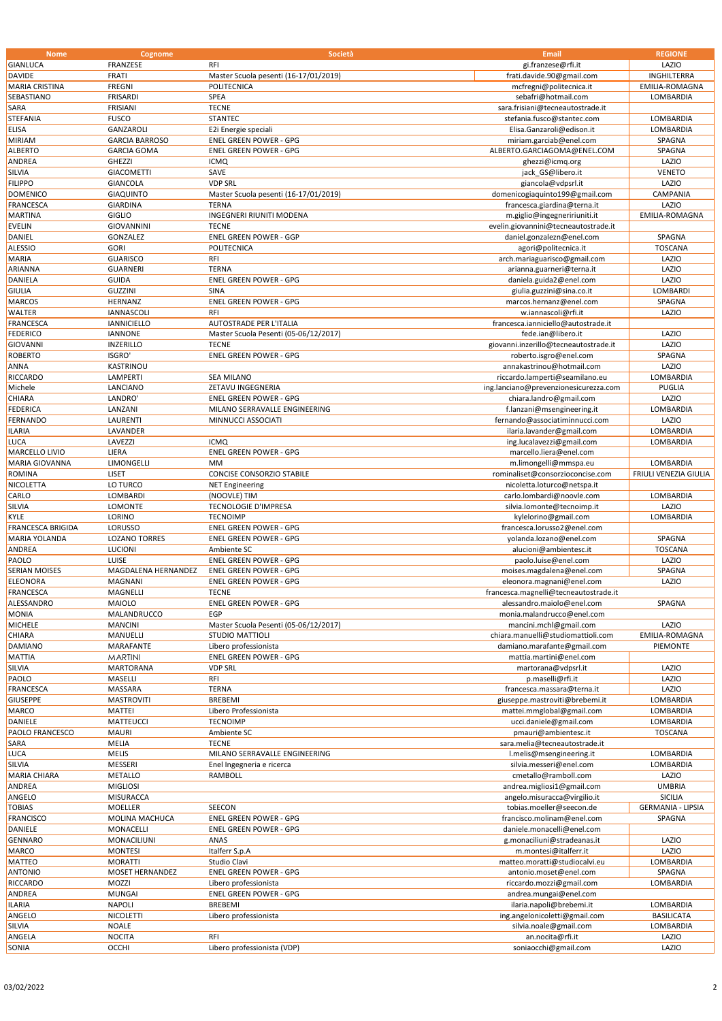| <b>Nome</b>                         | Cognome                      | Società                               | <b>Email</b>                                                      | <b>REGIONE</b>           |
|-------------------------------------|------------------------------|---------------------------------------|-------------------------------------------------------------------|--------------------------|
| <b>GIANLUCA</b>                     | FRANZESE                     | <b>RFI</b>                            | gi.franzese@rfi.it                                                | LAZIO                    |
| <b>DAVIDE</b>                       | FRATI                        | Master Scuola pesenti (16-17/01/2019) | frati.davide.90@gmail.com                                         | INGHILTERRA              |
| <b>MARIA CRISTINA</b>               | <b>FREGNI</b>                | POLITECNICA                           | mcfregni@politecnica.it                                           | EMILIA-ROMAGNA           |
| SEBASTIANO                          | <b>FRISARDI</b>              | SPEA                                  | sebafri@hotmail.com                                               | LOMBARDIA                |
| SARA                                | <b>FRISIANI</b>              | <b>TECNE</b>                          | sara.frisiani@tecneautostrade.it                                  |                          |
| STEFANIA                            | <b>FUSCO</b>                 | <b>STANTEC</b>                        | stefania.fusco@stantec.com                                        | LOMBARDIA                |
| ELISA                               | GANZAROLI                    | E2i Energie speciali                  | Elisa.Ganzaroli@edison.it                                         | LOMBARDIA                |
| <b>MIRIAM</b>                       | <b>GARCIA BARROSO</b>        | ENEL GREEN POWER - GPG                | miriam.garciab@enel.com                                           | SPAGNA                   |
| <b>ALBERTO</b>                      | <b>GARCIA GOMA</b>           | <b>ENEL GREEN POWER - GPG</b>         | ALBERTO.GARCIAGOMA@ENEL.COM                                       | SPAGNA                   |
| ANDREA                              | <b>GHEZZI</b>                | <b>ICMQ</b>                           | ghezzi@icmq.org                                                   | LAZIO                    |
| SILVIA                              | <b>GIACOMETTI</b>            | SAVE                                  | jack GS@libero.it                                                 | <b>VENETO</b>            |
| <b>FILIPPO</b>                      | <b>GIANCOLA</b>              | <b>VDP SRL</b>                        | giancola@vdpsrl.it                                                | LAZIO                    |
| <b>DOMENICO</b>                     | <b>GIAQUINTO</b>             | Master Scuola pesenti (16-17/01/2019) | domenicogiaquinto199@gmail.com                                    | CAMPANIA                 |
| <b>FRANCESCA</b>                    | <b>GIARDINA</b>              | <b>TERNA</b>                          | francesca.giardina@terna.it                                       | LAZIO                    |
| <b>MARTINA</b>                      | GIGLIO                       | <b>INGEGNERI RIUNITI MODENA</b>       | m.giglio@ingegneririuniti.it                                      | EMILIA-ROMAGNA           |
| <b>EVELIN</b>                       | <b>GIOVANNINI</b>            | <b>TECNE</b>                          | evelin.giovannini@tecneautostrade.it                              |                          |
| DANIEL                              | GONZALEZ                     | ENEL GREEN POWER - GGP                | daniel.gonzalezn@enel.com                                         | SPAGNA                   |
| <b>ALESSIO</b>                      | <b>GORI</b>                  | POLITECNICA                           | agori@politecnica.it                                              | <b>TOSCANA</b>           |
| MARIA                               | <b>GUARISCO</b>              | <b>RFI</b>                            | arch.mariaguarisco@gmail.com                                      | LAZIO                    |
| ARIANNA                             | <b>GUARNERI</b>              | <b>TERNA</b>                          | arianna.guarneri@terna.it                                         | LAZIO                    |
| <b>DANIELA</b>                      | <b>GUIDA</b>                 | ENEL GREEN POWER - GPG                | daniela.guida2@enel.com                                           | LAZIO                    |
| <b>GIULIA</b>                       | <b>GUZZINI</b>               | <b>SINA</b>                           | giulia.guzzini@sina.co.it                                         | LOMBARDI                 |
| <b>MARCOS</b>                       | HERNANZ                      | <b>ENEL GREEN POWER - GPG</b>         | marcos.hernanz@enel.com                                           | SPAGNA                   |
| WALTER                              | <b>IANNASCOLI</b>            | <b>RFI</b>                            | w.iannascoli@rfi.it                                               | LAZIO                    |
| <b>FRANCESCA</b>                    | <b>IANNICIELLO</b>           | AUTOSTRADE PER L'ITALIA               | francesca.ianniciello@autostrade.it                               |                          |
| <b>FEDERICO</b>                     | <b>IANNONE</b>               | Master Scuola Pesenti (05-06/12/2017) | fede.ian@libero.it                                                | LAZIO                    |
| <b>GIOVANNI</b>                     | <b>INZERILLO</b>             | <b>TECNE</b>                          | giovanni.inzerillo@tecneautostrade.it                             | LAZIO                    |
| <b>ROBERTO</b>                      | ISGRO'                       | ENEL GREEN POWER - GPG                | roberto.isgro@enel.com                                            | SPAGNA                   |
| ANNA                                | KASTRINOU                    |                                       | annakastrinou@hotmail.com                                         | LAZIO                    |
| RICCARDO                            | LAMPERTI                     | <b>SEA MILANO</b>                     | riccardo.lamperti@seamilano.eu                                    | LOMBARDIA                |
| Michele                             | LANCIANO                     | ZETAVU INGEGNERIA                     | ing.lanciano@prevenzionesicurezza.com                             | PUGLIA                   |
| CHIARA                              | LANDRO'                      | ENEL GREEN POWER - GPG                | chiara.landro@gmail.com                                           | LAZIO                    |
| <b>FEDERICA</b>                     | LANZANI                      | MILANO SERRAVALLE ENGINEERING         | f.lanzani@msengineering.it                                        | LOMBARDIA                |
| FERNANDO                            | LAURENTI                     | MINNUCCI ASSOCIATI                    | fernando@associatiminnucci.com                                    | LAZIO                    |
| ILARIA                              | LAVANDER                     |                                       | ilaria.lavander@gmail.com                                         | LOMBARDIA                |
| LUCA                                | LAVEZZI                      | <b>ICMQ</b>                           | ing.lucalavezzi@gmail.com                                         | LOMBARDIA                |
| MARCELLO LIVIO                      | LIERA                        | ENEL GREEN POWER - GPG                | marcello.liera@enel.com                                           |                          |
| MARIA GIOVANNA                      | LIMONGELLI                   | MM                                    | m.limongelli@mmspa.eu                                             | LOMBARDIA                |
| <b>ROMINA</b>                       | LISET                        | CONCISE CONSORZIO STABILE             | rominaliset@consorzioconcise.com                                  | FRIULI VENEZIA GIULIA    |
| NICOLETTA                           | LO TURCO                     | <b>NET Engineering</b>                | nicoletta.loturco@netspa.it                                       |                          |
| CARLO                               | LOMBARDI                     | (NOOVLE) TIM                          | carlo.lombardi@noovle.com                                         | LOMBARDIA                |
| SILVIA                              | LOMONTE                      | <b>TECNOLOGIE D'IMPRESA</b>           | silvia.lomonte@tecnoimp.it                                        | LAZIO                    |
| <b>KYLE</b>                         | LORINO                       | <b>TECNOIMP</b>                       | kylelorino@gmail.com                                              | LOMBARDIA                |
| FRANCESCA BRIGIDA                   | LORUSSO                      | ENEL GREEN POWER - GPG                | francesca.lorusso2@enel.com                                       |                          |
| MARIA YOLANDA                       | <b>LOZANO TORRES</b>         | <b>ENEL GREEN POWER - GPG</b>         | yolanda.lozano@enel.com                                           | SPAGNA                   |
| ANDREA                              | LUCIONI                      | Ambiente SC                           | alucioni@ambientesc.it                                            | <b>TOSCANA</b>           |
| PAOLO                               | <b>LUISE</b>                 | <b>ENEL GREEN POWER - GPG</b>         | paolo.luise@enel.com                                              | LAZIO                    |
| <b>SERIAN MOISES</b>                | MAGDALENA HERNANDEZ          | <b>ENEL GREEN POWER - GPG</b>         | moises.magdalena@enel.com                                         | SPAGNA                   |
| <b>ELEONORA</b>                     | MAGNANI                      | <b>ENEL GREEN POWER - GPG</b>         | eleonora.magnani@enel.com                                         | LAZIO                    |
| <b>FRANCESCA</b>                    | MAGNELLI                     | <b>TECNE</b>                          | francesca.magnelli@tecneautostrade.it                             |                          |
| ALESSANDRO                          | <b>MAIOLO</b>                | <b>ENEL GREEN POWER - GPG</b>         | alessandro.maiolo@enel.com                                        | SPAGNA                   |
| <b>MONIA</b>                        | MALANDRUCCO                  | EGP                                   | monia.malandrucco@enel.com                                        |                          |
| <b>MICHELE</b>                      | <b>MANCINI</b>               | Master Scuola Pesenti (05-06/12/2017) | mancini.mchl@gmail.com                                            | LAZIO                    |
| CHIARA                              | MANUELLI                     | STUDIO MATTIOLI                       | chiara.manuelli@studiomattioli.com<br>damiano.marafante@gmail.com | EMILIA-ROMAGNA           |
| DAMIANO                             | MARAFANTE                    | Libero professionista                 |                                                                   | PIEMONTE                 |
| <b>MATTIA</b>                       | <b>MARTINI</b>               | <b>ENEL GREEN POWER - GPG</b>         | mattia.martini@enel.com                                           |                          |
| SILVIA                              | MARTORANA                    | <b>VDP SRL</b>                        | martorana@vdpsrl.it                                               | LAZIO                    |
| PAOLO                               | MASELLI                      | <b>RFI</b>                            | p.maselli@rfi.it                                                  | LAZIO                    |
| <b>FRANCESCA</b><br><b>GIUSEPPE</b> | MASSARA<br><b>MASTROVITI</b> | <b>TERNA</b><br><b>BREBEMI</b>        | francesca.massara@terna.it<br>giuseppe.mastroviti@brebemi.it      | LAZIO<br>LOMBARDIA       |
| MARCO                               | MATTEI                       | Libero Professionista                 | mattei.mmglobal@gmail.com                                         | LOMBARDIA                |
| DANIELE                             | MATTEUCCI                    | <b>TECNOIMP</b>                       | ucci.daniele@gmail.com                                            | LOMBARDIA                |
| PAOLO FRANCESCO                     | <b>MAURI</b>                 | Ambiente SC                           | pmauri@ambientesc.it                                              | <b>TOSCANA</b>           |
| SARA                                | MELIA                        | <b>TECNE</b>                          | sara.melia@tecneautostrade.it                                     |                          |
| LUCA                                | <b>MELIS</b>                 | MILANO SERRAVALLE ENGINEERING         | l.melis@msengineering.it                                          | LOMBARDIA                |
| SILVIA                              | MESSERI                      | Enel Ingegneria e ricerca             | silvia.messeri@enel.com                                           | LOMBARDIA                |
| MARIA CHIARA                        | <b>METALLO</b>               | RAMBOLL                               | cmetallo@ramboll.com                                              | LAZIO                    |
| ANDREA                              | <b>MIGLIOSI</b>              |                                       | andrea.migliosi1@gmail.com                                        | <b>UMBRIA</b>            |
| ANGELO                              | MISURACCA                    |                                       | angelo.misuracca@virgilio.it                                      | <b>SICILIA</b>           |
| <b>TOBIAS</b>                       | <b>MOELLER</b>               | SEECON                                | tobias.moeller@seecon.de                                          | <b>GERMANIA - LIPSIA</b> |
| <b>FRANCISCO</b>                    | MOLINA MACHUCA               | ENEL GREEN POWER - GPG                | francisco.molinam@enel.com                                        | SPAGNA                   |
| DANIELE                             | MONACELLI                    | ENEL GREEN POWER - GPG                | daniele.monacelli@enel.com                                        |                          |
| <b>GENNARO</b>                      | MONACILIUNI                  | ANAS                                  | g.monaciliuni@stradeanas.it                                       | LAZIO                    |
| MARCO                               | <b>MONTESI</b>               | Italferr S.p.A                        | m.montesi@italferr.it                                             | LAZIO                    |
| <b>MATTEO</b>                       | <b>MORATTI</b>               | Studio Clavi                          | matteo.moratti@studiocalvi.eu                                     | LOMBARDIA                |
| <b>ANTONIO</b>                      | MOSET HERNANDEZ              | <b>ENEL GREEN POWER - GPG</b>         | antonio.moset@enel.com                                            | SPAGNA                   |
| RICCARDO                            | MOZZI                        | Libero professionista                 | riccardo.mozzi@gmail.com                                          | LOMBARDIA                |
| ANDREA                              | <b>MUNGAI</b>                | <b>ENEL GREEN POWER - GPG</b>         | andrea.mungai@enel.com                                            |                          |
| <b>ILARIA</b>                       | <b>NAPOLI</b>                | <b>BREBEMI</b>                        | ilaria.napoli@brebemi.it                                          | LOMBARDIA                |
| ANGELO                              | NICOLETTI                    | Libero professionista                 | ing.angelonicoletti@gmail.com                                     | <b>BASILICATA</b>        |
|                                     | <b>NOALE</b>                 |                                       |                                                                   |                          |
| SILVIA                              |                              | <b>RFI</b>                            | silvia.noale@gmail.com                                            | LOMBARDIA                |
| ANGELA                              | <b>NOCITA</b>                |                                       | an.nocita@rfi.it                                                  | LAZIO                    |
| SONIA                               | <b>OCCHI</b>                 | Libero professionista (VDP)           | soniaocchi@gmail.com                                              | LAZIO                    |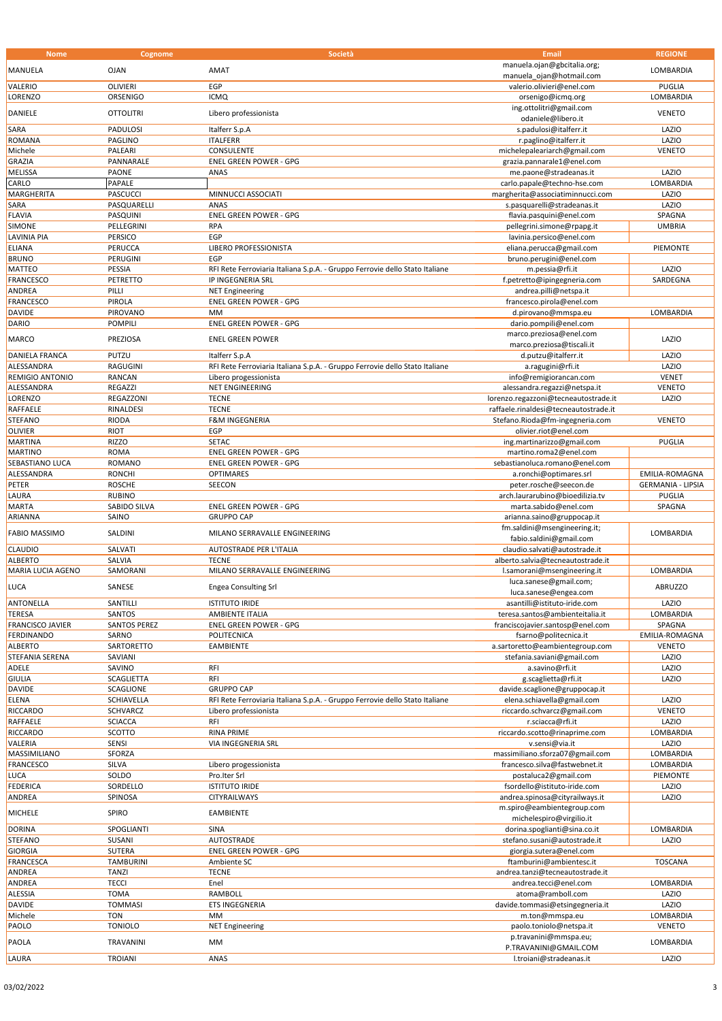|                         | Cognome             | Società                                                                     | <b>Email</b>                                     | <b>REGIONE</b>           |
|-------------------------|---------------------|-----------------------------------------------------------------------------|--------------------------------------------------|--------------------------|
|                         |                     |                                                                             | manuela.ojan@gbcitalia.org;                      |                          |
| <b>MANUELA</b>          | <b>OJAN</b>         | AMAT                                                                        | manuela ojan@hotmail.com                         | LOMBARDIA                |
| VALERIO                 | <b>OLIVIERI</b>     | EGP                                                                         | valerio.olivieri@enel.com                        | <b>PUGLIA</b>            |
|                         |                     |                                                                             |                                                  |                          |
| <b>LORENZO</b>          | ORSENIGO            | <b>ICMQ</b>                                                                 | orsenigo@icmq.org                                | LOMBARDIA                |
| DANIELE                 | <b>OTTOLITRI</b>    | Libero professionista                                                       | ing.ottolitri@gmail.com                          | <b>VENETO</b>            |
|                         |                     |                                                                             | odaniele@libero.it                               |                          |
| SARA                    | PADULOSI            | Italferr S.p.A                                                              | s.padulosi@italferr.it                           | LAZIO                    |
| <b>ROMANA</b>           | <b>PAGLINO</b>      | <b>ITALFERR</b>                                                             | r.paglino@italferr.it                            | LAZIO                    |
| Michele                 | PALEARI             | CONSULENTE                                                                  |                                                  | <b>VENETO</b>            |
|                         |                     |                                                                             | michelepaleariarch@gmail.com                     |                          |
| <b>GRAZIA</b>           | PANNARALE           | <b>ENEL GREEN POWER - GPG</b>                                               | grazia.pannarale1@enel.com                       |                          |
| <b>MELISSA</b>          | PAONE               | ANAS                                                                        | me.paone@stradeanas.it                           | LAZIO                    |
| CARLO                   | PAPALE              |                                                                             | carlo.papale@techno-hse.com                      | LOMBARDIA                |
| <b>MARGHERITA</b>       | <b>PASCUCCI</b>     | MINNUCCI ASSOCIATI                                                          | margherita@associatiminnucci.com                 | LAZIO                    |
| SARA                    | PASQUARELLI         | ANAS                                                                        | s.pasquarelli@stradeanas.it                      | LAZIO                    |
|                         |                     | <b>ENEL GREEN POWER - GPG</b>                                               |                                                  |                          |
| <b>FLAVIA</b>           | PASQUINI            |                                                                             | flavia.pasquini@enel.com                         | SPAGNA                   |
| <b>SIMONE</b>           | PELLEGRINI          | <b>RPA</b>                                                                  | pellegrini.simone@rpapg.it                       | <b>UMBRIA</b>            |
| <b>LAVINIA PIA</b>      | PERSICO             | EGP                                                                         | lavinia.persico@enel.com                         |                          |
| <b>ELIANA</b>           | PERUCCA             | LIBERO PROFESSIONISTA                                                       | eliana.perucca@gmail.com                         | PIEMONTE                 |
| <b>BRUNO</b>            | PERUGINI            | EGP                                                                         | bruno.perugini@enel.com                          |                          |
| <b>MATTEO</b>           | PESSIA              | RFI Rete Ferroviaria Italiana S.p.A. - Gruppo Ferrovie dello Stato Italiane | m.pessia@rfi.it                                  | LAZIO                    |
|                         |                     |                                                                             |                                                  |                          |
| <b>FRANCESCO</b>        | PETRETTO            | IP INGEGNERIA SRL                                                           | f.petretto@ipingegneria.com                      | SARDEGNA                 |
| ANDREA                  | PILLI               | <b>NET Engineering</b>                                                      | andrea.pilli@netspa.it                           |                          |
| <b>FRANCESCO</b>        | PIROLA              | <b>ENEL GREEN POWER - GPG</b>                                               | francesco.pirola@enel.com                        |                          |
| <b>DAVIDE</b>           | <b>PIROVANO</b>     | <b>MM</b>                                                                   | d.pirovano@mmspa.eu                              | LOMBARDIA                |
| <b>DARIO</b>            | <b>POMPILI</b>      | <b>ENEL GREEN POWER - GPG</b>                                               | dario.pompili@enel.com                           |                          |
|                         |                     |                                                                             | marco.preziosa@enel.com                          |                          |
| MARCO                   | PREZIOSA            | <b>ENEL GREEN POWER</b>                                                     |                                                  | LAZIO                    |
|                         |                     |                                                                             | marco.preziosa@tiscali.it                        |                          |
| <b>DANIELA FRANCA</b>   | PUTZU               | Italferr S.p.A                                                              | d.putzu@italferr.it                              | LAZIO                    |
| ALESSANDRA              | RAGUGINI            | RFI Rete Ferroviaria Italiana S.p.A. - Gruppo Ferrovie dello Stato Italiane | a.ragugini@rfi.it                                | LAZIO                    |
| <b>REMIGIO ANTONIO</b>  | <b>RANCAN</b>       | Libero progessionista                                                       | info@remigiorancan.com                           | <b>VENET</b>             |
| ALESSANDRA              | REGAZZI             | NET ENGINEERING                                                             | alessandra.regazzi@netspa.it                     | <b>VENETO</b>            |
| <b>LORENZO</b>          | REGAZZONI           | <b>TECNE</b>                                                                | lorenzo.regazzoni@tecneautostrade.it             | LAZIO                    |
|                         |                     |                                                                             |                                                  |                          |
| <b>RAFFAELE</b>         | RINALDESI           | <b>TECNE</b>                                                                | raffaele.rinaldesi@tecneautostrade.it            |                          |
| <b>STEFANO</b>          | <b>RIODA</b>        | <b>F&amp;M INGEGNERIA</b>                                                   | Stefano.Rioda@fm-ingegneria.com                  | <b>VENETO</b>            |
| <b>OLIVIER</b>          | <b>RIOT</b>         | EGP                                                                         | olivier.riot@enel.com                            |                          |
| <b>MARTINA</b>          | <b>RIZZO</b>        | <b>SETAC</b>                                                                | ing.martinarizzo@gmail.com                       | <b>PUGLIA</b>            |
| <b>MARTINO</b>          | <b>ROMA</b>         | <b>ENEL GREEN POWER - GPG</b>                                               | martino.roma2@enel.com                           |                          |
| SEBASTIANO LUCA         | <b>ROMANO</b>       | ENEL GREEN POWER - GPG                                                      | sebastianoluca.romano@enel.com                   |                          |
|                         |                     |                                                                             |                                                  |                          |
| ALESSANDRA              | <b>RONCHI</b>       | <b>OPTIMARES</b>                                                            | a.ronchi@optimares.srl                           | EMILIA-ROMAGNA           |
| PETER                   | <b>ROSCHE</b>       | SEECON                                                                      | peter.rosche@seecon.de                           | <b>GERMANIA - LIPSIA</b> |
| LAURA                   | <b>RUBINO</b>       |                                                                             | arch.laurarubino@bioedilizia.tv                  | PUGLIA                   |
| <b>MARTA</b>            | SABIDO SILVA        | <b>ENEL GREEN POWER - GPG</b>                                               | marta.sabido@enel.com                            | SPAGNA                   |
| ARIANNA                 | SAINO               | <b>GRUPPO CAP</b>                                                           | arianna.saino@gruppocap.it                       |                          |
|                         |                     |                                                                             | fm.saldini@msengineering.it;                     |                          |
| <b>FABIO MASSIMO</b>    | SALDINI             | MILANO SERRAVALLE ENGINEERING                                               | fabio.saldini@gmail.com                          | LOMBARDIA                |
|                         |                     |                                                                             |                                                  |                          |
|                         |                     |                                                                             | claudio.salvati@autostrade.it                    |                          |
| <b>CLAUDIO</b>          | SALVATI             | AUTOSTRADE PER L'ITALIA                                                     |                                                  |                          |
| <b>ALBERTO</b>          | SALVIA              | <b>TECNE</b>                                                                | alberto.salvia@tecneautostrade.it                |                          |
| MARIA LUCIA AGENO       | SAMORANI            | MILANO SERRAVALLE ENGINEERING                                               | l.samorani@msengineering.it                      | LOMBARDIA                |
|                         |                     |                                                                             |                                                  |                          |
| LUCA                    | SANESE              | <b>Engea Consulting Srl</b>                                                 | luca.sanese@gmail.com;                           | <b>ABRUZZO</b>           |
|                         |                     |                                                                             | luca.sanese@engea.com                            |                          |
| ANTONELLA               | SANTILLI            | <b>ISTITUTO IRIDE</b>                                                       | asantilli@istituto-iride.com                     | LAZIO                    |
| <b>TERESA</b>           | <b>SANTOS</b>       | <b>AMBIENTE ITALIA</b>                                                      | teresa.santos@ambienteitalia.it                  | LOMBARDIA                |
| <b>FRANCISCO JAVIER</b> | <b>SANTOS PEREZ</b> | <b>ENEL GREEN POWER - GPG</b>                                               | franciscojavier.santosp@enel.com                 | SPAGNA                   |
| <b>FERDINANDO</b>       | SARNO               | POLITECNICA                                                                 | fsarno@politecnica.it                            | EMILIA-ROMAGNA           |
| <b>ALBERTO</b>          | SARTORETTO          | EAMBIENTE                                                                   | a.sartoretto@eambientegroup.com                  | <b>VENETO</b>            |
|                         |                     |                                                                             |                                                  |                          |
| STEFANIA SERENA         | SAVIANI             |                                                                             | stefania.saviani@gmail.com                       | LAZIO                    |
| ADELE                   | SAVINO              | RFI                                                                         | a.savino@rfi.it                                  | LAZIO                    |
| <b>GIULIA</b>           | <b>SCAGLIETTA</b>   | RFI                                                                         | g.scaglietta@rfi.it                              | LAZIO                    |
| <b>DAVIDE</b>           | SCAGLIONE           | <b>GRUPPO CAP</b>                                                           | davide.scaglione@gruppocap.it                    |                          |
| <b>ELENA</b>            | <b>SCHIAVELLA</b>   | RFI Rete Ferroviaria Italiana S.p.A. - Gruppo Ferrovie dello Stato Italiane | elena.schiavella@gmail.com                       | LAZIO                    |
| <b>RICCARDO</b>         | SCHVARCZ            | Libero professionista                                                       | riccardo.schvarcz@gmail.com                      | <b>VENETO</b>            |
| <b>RAFFAELE</b>         | <b>SCIACCA</b>      | RFI                                                                         | r.sciacca@rfi.it                                 | LAZIO                    |
|                         |                     |                                                                             |                                                  |                          |
| <b>RICCARDO</b>         | SCOTTO              | <b>RINA PRIME</b>                                                           | riccardo.scotto@rinaprime.com                    | LOMBARDIA                |
| VALERIA                 | <b>SENSI</b>        | VIA INGEGNERIA SRL                                                          | v.sensi@via.it                                   | LAZIO                    |
| MASSIMILIANO            | SFORZA              |                                                                             | massimiliano.sforza07@gmail.com                  | LOMBARDIA                |
| <b>FRANCESCO</b>        | SILVA               | Libero progessionista                                                       | francesco.silva@fastwebnet.it                    | LOMBARDIA                |
| LUCA                    | SOLDO               | Pro.Iter Srl                                                                | postaluca2@gmail.com                             | PIEMONTE                 |
| <b>FEDERICA</b>         | SORDELLO            | <b>ISTITUTO IRIDE</b>                                                       | fsordello@istituto-iride.com                     | LAZIO                    |
|                         |                     |                                                                             |                                                  |                          |
| ANDREA                  | SPINOSA             | CITYRAILWAYS                                                                | andrea.spinosa@cityrailways.it                   | LAZIO                    |
| <b>MICHELE</b>          | SPIRO               | EAMBIENTE                                                                   | m.spiro@eambientegroup.com                       |                          |
|                         |                     |                                                                             | michelespiro@virgilio.it                         |                          |
| <b>DORINA</b>           | SPOGLIANTI          | <b>SINA</b>                                                                 | dorina.spoglianti@sina.co.it                     | LOMBARDIA                |
| <b>STEFANO</b>          | SUSANI              | AUTOSTRADE                                                                  | stefano.susani@autostrade.it                     | LAZIO                    |
| <b>GIORGIA</b>          | <b>SUTERA</b>       | <b>ENEL GREEN POWER - GPG</b>                                               | giorgia.sutera@enel.com                          |                          |
|                         |                     |                                                                             |                                                  |                          |
| <b>FRANCESCA</b>        | <b>TAMBURINI</b>    | Ambiente SC                                                                 | ftamburini@ambientesc.it                         | <b>TOSCANA</b>           |
| ANDREA                  | <b>TANZI</b>        | <b>TECNE</b>                                                                | andrea.tanzi@tecneautostrade.it                  |                          |
| ANDREA                  | <b>TECCI</b>        | Enel                                                                        | andrea.tecci@enel.com                            | LOMBARDIA                |
| <b>ALESSIA</b>          | <b>TOMA</b>         | RAMBOLL                                                                     | atoma@ramboll.com                                | LAZIO                    |
| <b>DAVIDE</b>           | <b>TOMMASI</b>      | ETS INGEGNERIA                                                              | davide.tommasi@etsingegneria.it                  | LAZIO                    |
| Michele                 | <b>TON</b>          | MM                                                                          | m.ton@mmspa.eu                                   | LOMBARDIA                |
|                         |                     |                                                                             |                                                  |                          |
| PAOLO                   | <b>TONIOLO</b>      | <b>NET Engineering</b>                                                      | paolo.toniolo@netspa.it                          | <b>VENETO</b>            |
| PAOLA                   | TRAVANINI           | МM                                                                          | p.travanini@mmspa.eu;                            | LOMBARDIA                |
| LAURA                   | <b>TROIANI</b>      | ANAS                                                                        | P.TRAVANINI@GMAIL.COM<br>l.troiani@stradeanas.it | LAZIO                    |